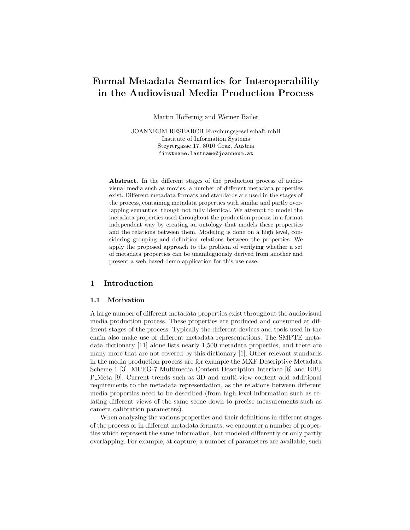# Formal Metadata Semantics for Interoperability in the Audiovisual Media Production Process

Martin Höffernig and Werner Bailer

JOANNEUM RESEARCH Forschungsgesellschaft mbH Institute of Information Systems Steyrergasse 17, 8010 Graz, Austria firstname.lastname@joanneum.at

Abstract. In the different stages of the production process of audiovisual media such as movies, a number of different metadata properties exist. Different metadata formats and standards are used in the stages of the process, containing metadata properties with similar and partly overlapping semantics, though not fully identical. We attempt to model the metadata properties used throughout the production process in a format independent way by creating an ontology that models these properties and the relations between them. Modeling is done on a high level, considering grouping and definition relations between the properties. We apply the proposed approach to the problem of verifying whether a set of metadata properties can be unambiguously derived from another and present a web based demo application for this use case.

# 1 Introduction

#### 1.1 Motivation

A large number of different metadata properties exist throughout the audiovisual media production process. These properties are produced and consumed at different stages of the process. Typically the different devices and tools used in the chain also make use of different metadata representations. The SMPTE metadata dictionary [11] alone lists nearly 1,500 metadata properties, and there are many more that are not covered by this dictionary [1]. Other relevant standards in the media production process are for example the MXF Descriptive Metadata Scheme 1 [3], MPEG-7 Multimedia Content Description Interface [6] and EBU P Meta [9]. Current trends such as 3D and multi-view content add additional requirements to the metadata representation, as the relations between different media properties need to be described (from high level information such as relating different views of the same scene down to precise measurements such as camera calibration parameters).

When analyzing the various properties and their definitions in different stages of the process or in different metadata formats, we encounter a number of properties which represent the same information, but modeled differently or only partly overlapping. For example, at capture, a number of parameters are available, such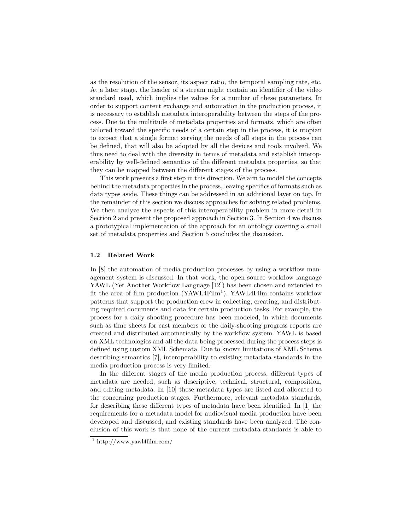as the resolution of the sensor, its aspect ratio, the temporal sampling rate, etc. At a later stage, the header of a stream might contain an identifier of the video standard used, which implies the values for a number of these parameters. In order to support content exchange and automation in the production process, it is necessary to establish metadata interoperability between the steps of the process. Due to the multitude of metadata properties and formats, which are often tailored toward the specific needs of a certain step in the process, it is utopian to expect that a single format serving the needs of all steps in the process can be defined, that will also be adopted by all the devices and tools involved. We thus need to deal with the diversity in terms of metadata and establish interoperability by well-defined semantics of the different metadata properties, so that they can be mapped between the different stages of the process.

This work presents a first step in this direction. We aim to model the concepts behind the metadata properties in the process, leaving specifics of formats such as data types aside. These things can be addressed in an additional layer on top. In the remainder of this section we discuss approaches for solving related problems. We then analyze the aspects of this interoperability problem in more detail in Section 2 and present the proposed approach in Section 3. In Section 4 we discuss a prototypical implementation of the approach for an ontology covering a small set of metadata properties and Section 5 concludes the discussion.

#### 1.2 Related Work

In [8] the automation of media production processes by using a workflow management system is discussed. In that work, the open source workflow language YAWL (Yet Another Workflow Language [12]) has been chosen and extended to fit the area of film production (YAWL4Film<sup>1</sup>). YAWL4Film contains workflow patterns that support the production crew in collecting, creating, and distributing required documents and data for certain production tasks. For example, the process for a daily shooting procedure has been modeled, in which documents such as time sheets for cast members or the daily-shooting progress reports are created and distributed automatically by the workflow system. YAWL is based on XML technologies and all the data being processed during the process steps is defined using custom XML Schemata. Due to known limitations of XML Schema describing semantics [7], interoperability to existing metadata standards in the media production process is very limited.

In the different stages of the media production process, different types of metadata are needed, such as descriptive, technical, structural, composition, and editing metadata. In [10] these metadata types are listed and allocated to the concerning production stages. Furthermore, relevant metadata standards, for describing these different types of metadata have been identified. In [1] the requirements for a metadata model for audiovisual media production have been developed and discussed, and existing standards have been analyzed. The conclusion of this work is that none of the current metadata standards is able to

 $\frac{1}{1}$ http://www.yawl4film.com/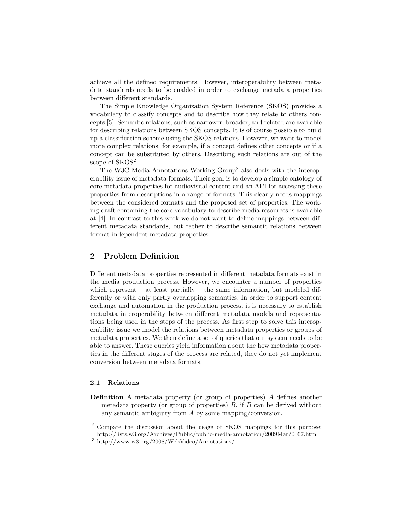achieve all the defined requirements. However, interoperability between metadata standards needs to be enabled in order to exchange metadata properties between different standards.

The Simple Knowledge Organization System Reference (SKOS) provides a vocabulary to classify concepts and to describe how they relate to others concepts [5]. Semantic relations, such as narrower, broader, and related are available for describing relations between SKOS concepts. It is of course possible to build up a classification scheme using the SKOS relations. However, we want to model more complex relations, for example, if a concept defines other concepts or if a concept can be substituted by others. Describing such relations are out of the scope of SKOS<sup>2</sup>.

The W3C Media Annotations Working Group<sup>3</sup> also deals with the interoperability issue of metadata formats. Their goal is to develop a simple ontology of core metadata properties for audiovisual content and an API for accessing these properties from descriptions in a range of formats. This clearly needs mappings between the considered formats and the proposed set of properties. The working draft containing the core vocabulary to describe media resources is available at [4]. In contrast to this work we do not want to define mappings between different metadata standards, but rather to describe semantic relations between format independent metadata properties.

### 2 Problem Definition

Different metadata properties represented in different metadata formats exist in the media production process. However, we encounter a number of properties which represent – at least partially – the same information, but modeled differently or with only partly overlapping semantics. In order to support content exchange and automation in the production process, it is necessary to establish metadata interoperability between different metadata models and representations being used in the steps of the process. As first step to solve this interoperability issue we model the relations between metadata properties or groups of metadata properties. We then define a set of queries that our system needs to be able to answer. These queries yield information about the how metadata properties in the different stages of the process are related, they do not yet implement conversion between metadata formats.

#### 2.1 Relations

Definition A metadata property (or group of properties) A defines another metadata property (or group of properties)  $B$ , if  $B$  can be derived without any semantic ambiguity from A by some mapping/conversion.

<sup>2</sup> Compare the discussion about the usage of SKOS mappings for this purpose: http://lists.w3.org/Archives/Public/public-media-annotation/2009Mar/0067.html

<sup>3</sup> http://www.w3.org/2008/WebVideo/Annotations/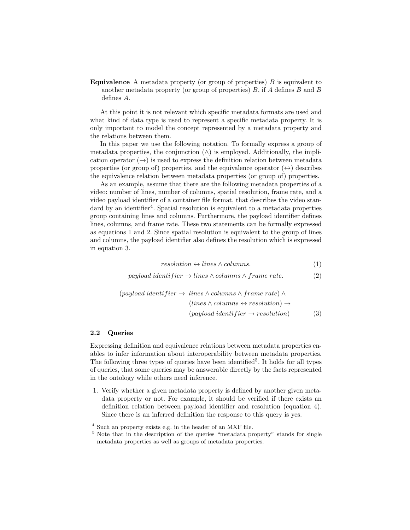**Equivalence** A metadata property (or group of properties)  $B$  is equivalent to another metadata property (or group of properties)  $B$ , if A defines  $B$  and  $B$ defines A.

At this point it is not relevant which specific metadata formats are used and what kind of data type is used to represent a specific metadata property. It is only important to model the concept represented by a metadata property and the relations between them.

In this paper we use the following notation. To formally express a group of metadata properties, the conjunction  $(\wedge)$  is employed. Additionally, the implication operator  $(\rightarrow)$  is used to express the definition relation between metadata properties (or group of) properties, and the equivalence operator  $(\leftrightarrow)$  describes the equivalence relation between metadata properties (or group of) properties.

As an example, assume that there are the following metadata properties of a video: number of lines, number of columns, spatial resolution, frame rate, and a video payload identifier of a container file format, that describes the video standard by an identifier<sup>4</sup>. Spatial resolution is equivalent to a metadata properties group containing lines and columns. Furthermore, the payload identifier defines lines, columns, and frame rate. These two statements can be formally expressed as equations 1 and 2. Since spatial resolution is equivalent to the group of lines and columns, the payload identifier also defines the resolution which is expressed in equation 3.

$$
resolution \leftrightarrow lines \land columns. \tag{1}
$$

 $payload identifier \rightarrow lines \wedge columns \wedge frame\ rate.$  (2)

$$
(payload identifier \rightarrow lines \land columns \land frame rate) \land (lines \land columns \leftrightarrow resolution) \rightarrow (payload identifier \rightarrow resolution)
$$
(3)

#### 2.2 Queries

Expressing definition and equivalence relations between metadata properties enables to infer information about interoperability between metadata properties. The following three types of queries have been identified<sup>5</sup>. It holds for all types of queries, that some queries may be answerable directly by the facts represented in the ontology while others need inference.

1. Verify whether a given metadata property is defined by another given metadata property or not. For example, it should be verified if there exists an definition relation between payload identifier and resolution (equation 4). Since there is an inferred definition the response to this query is yes.

<sup>4</sup> Such an property exists e.g. in the header of an MXF file.

<sup>5</sup> Note that in the description of the queries "metadata property" stands for single metadata properties as well as groups of metadata properties.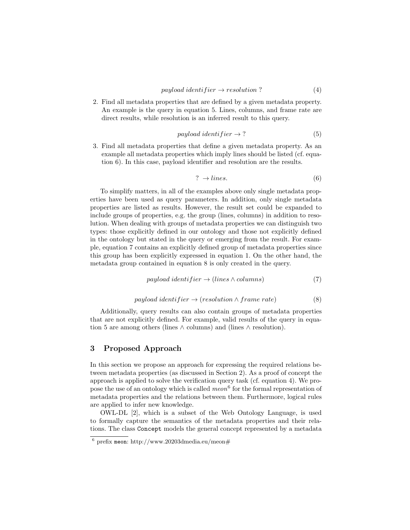2. Find all metadata properties that are defined by a given metadata property. An example is the query in equation 5. Lines, columns, and frame rate are direct results, while resolution is an inferred result to this query.

$$
payload identifier \rightarrow ? \tag{5}
$$

3. Find all metadata properties that define a given metadata property. As an example all metadata properties which imply lines should be listed (cf. equation 6). In this case, payload identifier and resolution are the results.

$$
? \rightarrow lines. \tag{6}
$$

To simplify matters, in all of the examples above only single metadata properties have been used as query parameters. In addition, only single metadata properties are listed as results. However, the result set could be expanded to include groups of properties, e.g. the group (lines, columns) in addition to resolution. When dealing with groups of metadata properties we can distinguish two types: those explicitly defined in our ontology and those not explicitly defined in the ontology but stated in the query or emerging from the result. For example, equation 7 contains an explicitly defined group of metadata properties since this group has been explicitly expressed in equation 1. On the other hand, the metadata group contained in equation 8 is only created in the query.

$$
payload identifier \rightarrow (lines \land columns) \tag{7}
$$

$$
payload identifier \rightarrow (resolution \land frame\ rate) \tag{8}
$$

Additionally, query results can also contain groups of metadata properties that are not explicitly defined. For example, valid results of the query in equation 5 are among others (lines  $\land$  columns) and (lines  $\land$  resolution).

### 3 Proposed Approach

In this section we propose an approach for expressing the required relations between metadata properties (as discussed in Section 2). As a proof of concept the approach is applied to solve the verification query task (cf. equation 4). We propose the use of an ontology which is called  $meon<sup>6</sup>$  for the formal representation of metadata properties and the relations between them. Furthermore, logical rules are applied to infer new knowledge.

OWL-DL [2], which is a subset of the Web Ontology Language, is used to formally capture the semantics of the metadata properties and their relations. The class Concept models the general concept represented by a metadata

 $\frac{6}{6}$  prefix meon: http://www.20203dmedia.eu/meon#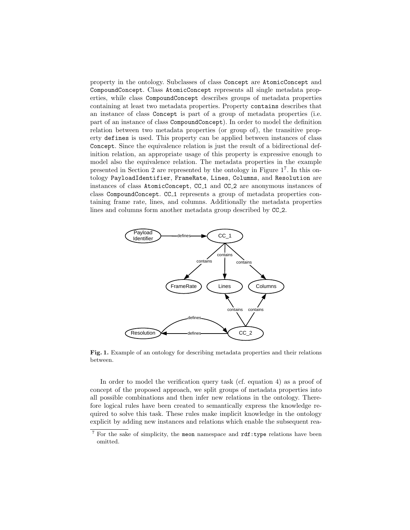property in the ontology. Subclasses of class Concept are AtomicConcept and CompoundConcept. Class AtomicConcept represents all single metadata properties, while class CompoundConcept describes groups of metadata properties containing at least two metadata properties. Property contains describes that an instance of class Concept is part of a group of metadata properties (i.e. part of an instance of class CompoundConcept). In order to model the definition relation between two metadata properties (or group of), the transitive property defines is used. This property can be applied between instances of class Concept. Since the equivalence relation is just the result of a bidirectional definition relation, an appropriate usage of this property is expressive enough to model also the equivalence relation. The metadata properties in the example presented in Section 2 are represented by the ontology in Figure 1<sup>7</sup> . In this ontology PayloadIdentifier, FrameRate, Lines, Columns, and Resolution are instances of class AtomicConcept, CC 1 and CC 2 are anonymous instances of class CompoundConcept. CC 1 represents a group of metadata properties containing frame rate, lines, and columns. Additionally the metadata properties lines and columns form another metadata group described by  $CC_2$ .



Fig. 1. Example of an ontology for describing metadata properties and their relations between.

In order to model the verification query task (cf. equation 4) as a proof of concept of the proposed approach, we split groups of metadata properties into all possible combinations and then infer new relations in the ontology. Therefore logical rules have been created to semantically express the knowledge required to solve this task. These rules make implicit knowledge in the ontology explicit by adding new instances and relations which enable the subsequent rea-

<sup>&</sup>lt;sup>7</sup> For the sake of simplicity, the meon namespace and  $\text{rdf:type}$  relations have been omitted.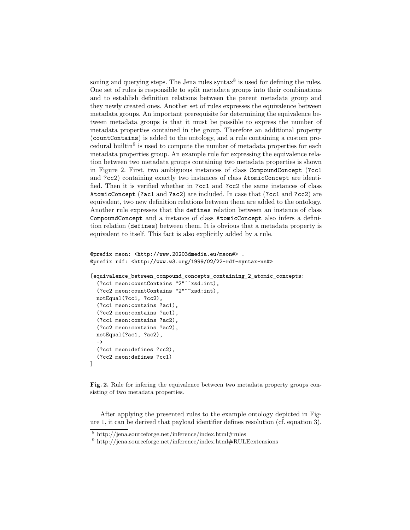soning and querying steps. The Jena rules syntax<sup>8</sup> is used for defining the rules. One set of rules is responsible to split metadata groups into their combinations and to establish definition relations between the parent metadata group and they newly created ones. Another set of rules expresses the equivalence between metadata groups. An important prerequisite for determining the equivalence between metadata groups is that it must be possible to express the number of metadata properties contained in the group. Therefore an additional property (countContains) is added to the ontology, and a rule containing a custom procedural builtin<sup>9</sup> is used to compute the number of metadata properties for each metadata properties group. An example rule for expressing the equivalence relation between two metadata groups containing two metadata properties is shown in Figure 2. First, two ambiguous instances of class CompoundConcept (?cc1 and ?cc2) containing exactly two instances of class AtomicConcept are identified. Then it is verified whether in ?cc1 and ?cc2 the same instances of class AtomicConcept (?ac1 and ?ac2) are included. In case that (?cc1 and ?cc2) are equivalent, two new definition relations between them are added to the ontology. Another rule expresses that the defines relation between an instance of class CompoundConcept and a instance of class AtomicConcept also infers a definition relation (defines) between them. It is obvious that a metadata property is equivalent to itself. This fact is also explicitly added by a rule.

```
@prefix meon: <http://www.20203dmedia.eu/meon#> .
@prefix rdf: <http://www.w3.org/1999/02/22-rdf-syntax-ns#>
```

```
[equivalence_between_compound_concepts_containing_2_atomic_concepts:
  (?cc1 meon:countContains "2"^^xsd:int),
  (?cc2 meon:countContains "2"^^xsd:int),
 notEqual(?cc1, ?cc2),
  (?cc1 meon:contains ?ac1),
  (?cc2 meon:contains ?ac1),
  (?cc1 meon:contains ?ac2),
  (?cc2 meon:contains ?ac2),
 notEqual(?ac1, ?ac2),
  \rightarrow(?cc1 meon:defines ?cc2),
  (?cc2 meon:defines ?cc1)
]
```
Fig. 2. Rule for infering the equivalence between two metadata property groups consisting of two metadata properties.

After applying the presented rules to the example ontology depicted in Figure 1, it can be derived that payload identifier defines resolution (cf. equation 3).

<sup>8</sup> http://jena.sourceforge.net/inference/index.html#rules

<sup>&</sup>lt;sup>9</sup> http://jena.sourceforge.net/inference/index.html#RULEextensions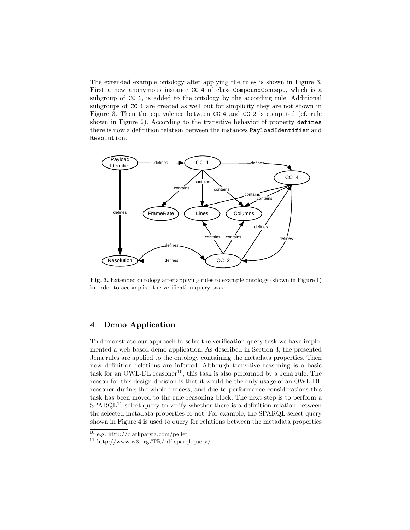The extended example ontology after applying the rules is shown in Figure 3. First a new anonymous instance CC 4 of class CompoundConcept, which is a subgroup of  $CC_1$ , is added to the ontology by the according rule. Additional subgroups of CC<sub>1</sub> are created as well but for simplicity they are not shown in Figure 3. Then the equivalence between CC<sub>-4</sub> and CC<sub>-2</sub> is computed (cf. rule shown in Figure 2). According to the transitive behavior of property defines there is now a definition relation between the instances PayloadIdentifier and Resolution.



Fig. 3. Extended ontology after applying rules to example ontology (shown in Figure 1) in order to accomplish the verification query task.

# 4 Demo Application

To demonstrate our approach to solve the verification query task we have implemented a web based demo application. As described in Section 3, the presented Jena rules are applied to the ontology containing the metadata properties. Then new definition relations are inferred. Although transitive reasoning is a basic task for an OWL-DL reasoner<sup>10</sup>, this task is also performed by a Jena rule. The reason for this design decision is that it would be the only usage of an OWL-DL reasoner during the whole process, and due to performance considerations this task has been moved to the rule reasoning block. The next step is to perform a  $SPARQL<sup>11</sup>$  select query to verify whether there is a definition relation between the selected metadata properties or not. For example, the SPARQL select query shown in Figure 4 is used to query for relations between the metadata properties

 $10$  e.g. http://clarkparsia.com/pellet

<sup>11</sup> http://www.w3.org/TR/rdf-sparql-query/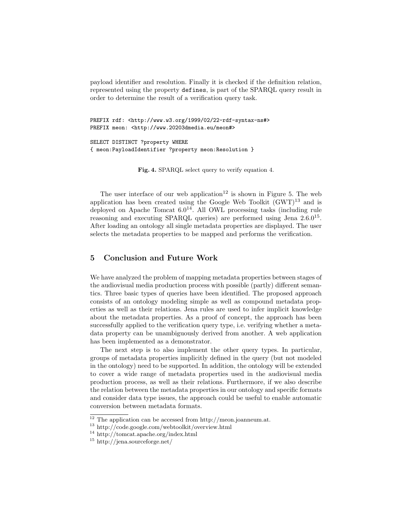payload identifier and resolution. Finally it is checked if the definition relation, represented using the property defines, is part of the SPARQL query result in order to determine the result of a verification query task.

PREFIX rdf: <http://www.w3.org/1999/02/22-rdf-syntax-ns#> PREFIX meon: <http://www.20203dmedia.eu/meon#>

SELECT DISTINCT ?property WHERE { meon:PayloadIdentifier ?property meon:Resolution }

Fig. 4. SPARQL select query to verify equation 4.

The user interface of our web application<sup>12</sup> is shown in Figure 5. The web application has been created using the Google Web Toolkit  $(GWT)^{13}$  and is deployed on Apache Tomcat  $6.0^{14}$ . All OWL processing tasks (including rule reasoning and executing SPARQL queries) are performed using Jena  $2.6 \cdot 0^{15}$ . After loading an ontology all single metadata properties are displayed. The user selects the metadata properties to be mapped and performs the verification.

# 5 Conclusion and Future Work

We have analyzed the problem of mapping metadata properties between stages of the audiovisual media production process with possible (partly) different semantics. Three basic types of queries have been identified. The proposed approach consists of an ontology modeling simple as well as compound metadata properties as well as their relations. Jena rules are used to infer implicit knowledge about the metadata properties. As a proof of concept, the approach has been successfully applied to the verification query type, i.e. verifying whether a metadata property can be unambiguously derived from another. A web application has been implemented as a demonstrator.

The next step is to also implement the other query types. In particular, groups of metadata properties implicitly defined in the query (but not modeled in the ontology) need to be supported. In addition, the ontology will be extended to cover a wide range of metadata properties used in the audiovisual media production process, as well as their relations. Furthermore, if we also describe the relation between the metadata properties in our ontology and specific formats and consider data type issues, the approach could be useful to enable automatic conversion between metadata formats.

 $\overline{12}$  The application can be accessed from http://meon.joanneum.at.

<sup>13</sup> http://code.google.com/webtoolkit/overview.html

<sup>14</sup> http://tomcat.apache.org/index.html

<sup>15</sup> http://jena.sourceforge.net/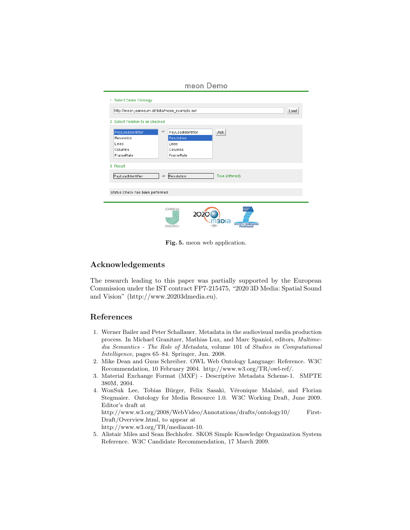meon Demo

| 1. Select Demo Ontology                       |                                                |
|-----------------------------------------------|------------------------------------------------|
| http://meon.joanneum.at/data/meon_example.owl | Load                                           |
| 2. Select Relation to be checked              |                                                |
|                                               |                                                |
| PayLoadIdentifier                             | -><br>Ask<br>PayLoadIdentifier                 |
| Resolution                                    | Resolution                                     |
| Lines                                         | Lines                                          |
| Columns                                       | Columns                                        |
| FrameRate                                     | FrameRate                                      |
| 3. Result<br>PayLoadIdentifier                | True (inferred)<br>Resolution<br>$\rightarrow$ |
|                                               |                                                |
| Status: Check has been performed              |                                                |
|                                               |                                                |
|                                               | <b>JOANNEUM</b><br>2020<br>nàbia<br>RESEARCH   |

Fig. 5. meon web application.

# Acknowledgements

The research leading to this paper was partially supported by the European Commission under the IST contract FP7-215475, "2020 3D Media: Spatial Sound and Vision" (http://www.20203dmedia.eu).

# References

- 1. Werner Bailer and Peter Schallauer. Metadata in the audiovisual media production process. In Michael Granitzer, Mathias Lux, and Marc Spaniol, editors, Multimedia Semantics - The Role of Metadata, volume 101 of Studies in Computational Intelligence, pages 65–84. Springer, Jun. 2008.
- 2. Mike Dean and Guus Schreiber. OWL Web Ontology Language: Reference. W3C Recommendation, 10 February 2004. http://www.w3.org/TR/owl-ref/.
- 3. Material Exchange Format (MXF) Descriptive Metadata Scheme-1. SMPTE 380M, 2004.
- 4. WonSuk Lee, Tobias Bürger, Felix Sasaki, Véronique Malaisé, and Florian Stegmaier. Ontology for Media Resource 1.0. W3C Working Draft, June 2009. Editor's draft at

http://www.w3.org/2008/WebVideo/Annotations/drafts/ontology10/ First-Draft/Overview.html, to appear at

http://www.w3.org/TR/mediaont-10.

5. Alistair Miles and Sean Bechhofer. SKOS Simple Knowledge Organization System Reference. W3C Candidate Recommendation, 17 March 2009.